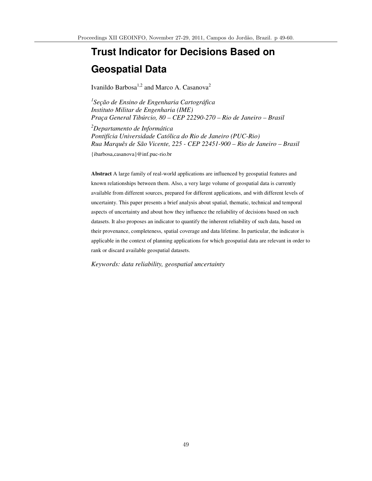# **Trust Indicator for Decisions Based on Geospatial Data**

Ivanildo Barbosa<sup>1,2</sup> and Marco A. Casanova<sup>2</sup>

*1 Seção de Ensino de Engenharia Cartográfica Instituto Militar de Engenharia (IME) Praça General Tibúrcio, 80 – CEP 22290-270 – Rio de Janeiro – Brasil* 

*2 Departamento de Informática Pontifícia Universidade Católica do Rio de Janeiro (PUC-Rio) Rua Marquês de São Vicente, 225 - CEP 22451-900 – Rio de Janeiro – Brasil* 

{ibarbosa,casanova}@inf.puc-rio.br

**Abstract** A large family of real-world applications are influenced by geospatial features and known relationships between them. Also, a very large volume of geospatial data is currently available from different sources, prepared for different applications, and with different levels of uncertainty. This paper presents a brief analysis about spatial, thematic, technical and temporal aspects of uncertainty and about how they influence the reliability of decisions based on such datasets. It also proposes an indicator to quantify the inherent reliability of such data, based on their provenance, completeness, spatial coverage and data lifetime. In particular, the indicator is applicable in the context of planning applications for which geospatial data are relevant in order to rank or discard available geospatial datasets.

*Keywords: data reliability, geospatial uncertainty*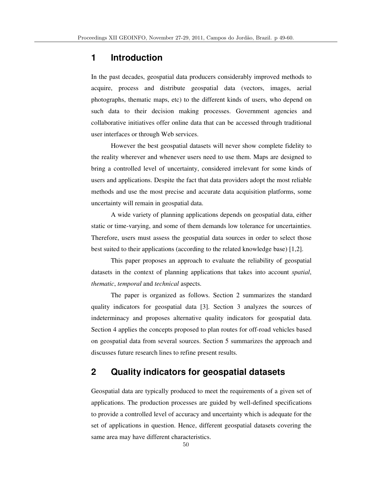## **1 Introduction**

In the past decades, geospatial data producers considerably improved methods to acquire, process and distribute geospatial data (vectors, images, aerial photographs, thematic maps, etc) to the different kinds of users, who depend on such data to their decision making processes. Government agencies and collaborative initiatives offer online data that can be accessed through traditional user interfaces or through Web services.

However the best geospatial datasets will never show complete fidelity to the reality wherever and whenever users need to use them. Maps are designed to bring a controlled level of uncertainty, considered irrelevant for some kinds of users and applications. Despite the fact that data providers adopt the most reliable methods and use the most precise and accurate data acquisition platforms, some uncertainty will remain in geospatial data.

A wide variety of planning applications depends on geospatial data, either static or time-varying, and some of them demands low tolerance for uncertainties. Therefore, users must assess the geospatial data sources in order to select those best suited to their applications (according to the related knowledge base) [1,2].

This paper proposes an approach to evaluate the reliability of geospatial datasets in the context of planning applications that takes into account *spatial*, *thematic*, *temporal* and *technical* aspects.

The paper is organized as follows. Section 2 summarizes the standard quality indicators for geospatial data [3]. Section 3 analyzes the sources of indeterminacy and proposes alternative quality indicators for geospatial data. Section 4 applies the concepts proposed to plan routes for off-road vehicles based on geospatial data from several sources. Section 5 summarizes the approach and discusses future research lines to refine present results.

## **2 Quality indicators for geospatial datasets**

Geospatial data are typically produced to meet the requirements of a given set of applications. The production processes are guided by well-defined specifications to provide a controlled level of accuracy and uncertainty which is adequate for the set of applications in question. Hence, different geospatial datasets covering the same area may have different characteristics.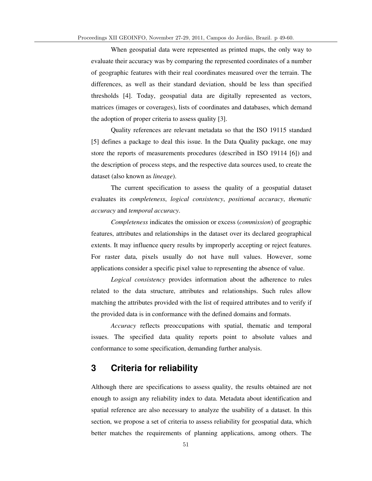When geospatial data were represented as printed maps, the only way to evaluate their accuracy was by comparing the represented coordinates of a number of geographic features with their real coordinates measured over the terrain. The differences, as well as their standard deviation, should be less than specified thresholds [4]. Today, geospatial data are digitally represented as vectors, matrices (images or coverages), lists of coordinates and databases, which demand the adoption of proper criteria to assess quality [3].

Quality references are relevant metadata so that the ISO 19115 standard [5] defines a package to deal this issue. In the Data Quality package, one may store the reports of measurements procedures (described in ISO 19114 [6]) and the description of process steps, and the respective data sources used, to create the dataset (also known as *lineage*).

The current specification to assess the quality of a geospatial dataset evaluates its *completeness*, *logical consistency*, *positional accuracy*, *thematic accuracy* and *temporal accuracy*.

*Completeness* indicates the omission or excess (*commission*) of geographic features, attributes and relationships in the dataset over its declared geographical extents. It may influence query results by improperly accepting or reject features. For raster data, pixels usually do not have null values. However, some applications consider a specific pixel value to representing the absence of value.

*Logical consistency* provides information about the adherence to rules related to the data structure, attributes and relationships. Such rules allow matching the attributes provided with the list of required attributes and to verify if the provided data is in conformance with the defined domains and formats.

*Accuracy* reflects preoccupations with spatial, thematic and temporal issues. The specified data quality reports point to absolute values and conformance to some specification, demanding further analysis.

## **3 Criteria for reliability**

Although there are specifications to assess quality, the results obtained are not enough to assign any reliability index to data. Metadata about identification and spatial reference are also necessary to analyze the usability of a dataset. In this section, we propose a set of criteria to assess reliability for geospatial data, which better matches the requirements of planning applications, among others. The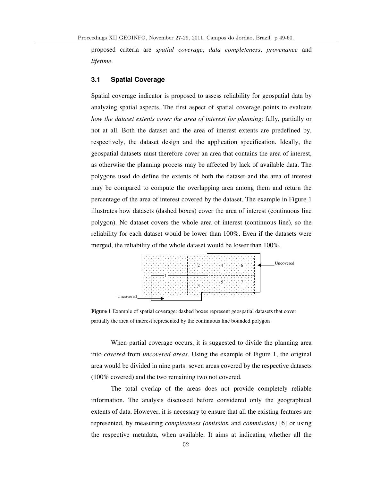proposed criteria are *spatial coverage*, *data completeness*, *provenance* and *lifetime*.

#### **3.1 Spatial Coverage**

Spatial coverage indicator is proposed to assess reliability for geospatial data by analyzing spatial aspects. The first aspect of spatial coverage points to evaluate *how the dataset extents cover the area of interest for planning*: fully, partially or not at all. Both the dataset and the area of interest extents are predefined by, respectively, the dataset design and the application specification. Ideally, the geospatial datasets must therefore cover an area that contains the area of interest, as otherwise the planning process may be affected by lack of available data. The polygons used do define the extents of both the dataset and the area of interest may be compared to compute the overlapping area among them and return the percentage of the area of interest covered by the dataset. The example in Figure 1 illustrates how datasets (dashed boxes) cover the area of interest (continuous line polygon). No dataset covers the whole area of interest (continuous line), so the reliability for each dataset would be lower than 100%. Even if the datasets were merged, the reliability of the whole dataset would be lower than 100%.



**Figure 1** Example of spatial coverage: dashed boxes represent geospatial datasets that cover partially the area of interest represented by the continuous line bounded polygon

When partial coverage occurs, it is suggested to divide the planning area into *covered* from *uncovered areas*. Using the example of Figure 1, the original area would be divided in nine parts: seven areas covered by the respective datasets (100% covered) and the two remaining two not covered.

The total overlap of the areas does not provide completely reliable information. The analysis discussed before considered only the geographical extents of data. However, it is necessary to ensure that all the existing features are represented, by measuring *completeness (omission* and *commission)* [6] or using the respective metadata, when available. It aims at indicating whether all the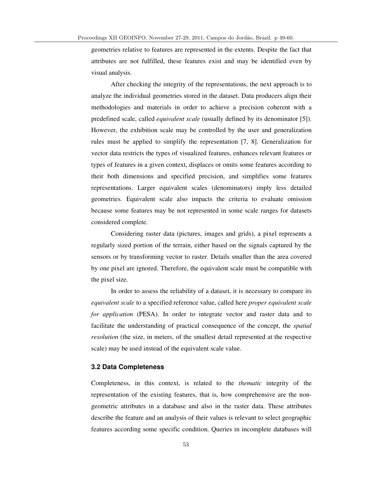geometries relative to features are represented in the extents. Despite the fact that attributes are not fulfilled, these features exist and may be identified even by visual analysis.

After checking the integrity of the representations, the next approach is to analyze the individual geometries stored in the dataset. Data producers align their methodologies and materials in order to achieve a precision coherent with a predefined scale, called *equivalent scale* (usually defined by its denominator [5]). However, the exhibition scale may be controlled by the user and generalization rules must be applied to simplify the representation [7, 8]. Generalization for vector data restricts the types of visualized features, enhances relevant features or types of features in a given context, displaces or omits some features according to their both dimensions and specified precision, and simplifies some features representations. Larger equivalent scales (denominators) imply less detailed geometries. Equivalent scale also impacts the criteria to evaluate omission because some features may be not represented in some scale ranges for datasets considered complete.

Considering raster data (pictures, images and grids), a pixel represents a regularly sized portion of the terrain, either based on the signals captured by the sensors or by transforming vector to raster. Details smaller than the area covered by one pixel are ignored. Therefore, the equivalent scale must be compatible with the pixel size.

In order to assess the reliability of a dataset, it is necessary to compare its *equivalent scale* to a specified reference value, called here *proper equivalent scale for application* (PESA). In order to integrate vector and raster data and to facilitate the understanding of practical consequence of the concept, the *spatial resolution* (the size, in meters, of the smallest detail represented at the respective scale) may be used instead of the equivalent scale value.

#### **3.2 Data Completeness**

Completeness, in this context, is related to the *thematic* integrity of the representation of the existing features, that is, how comprehensive are the nongeometric attributes in a database and also in the raster data. These attributes describe the feature and an analysis of their values is relevant to select geographic features according some specific condition. Queries in incomplete databases will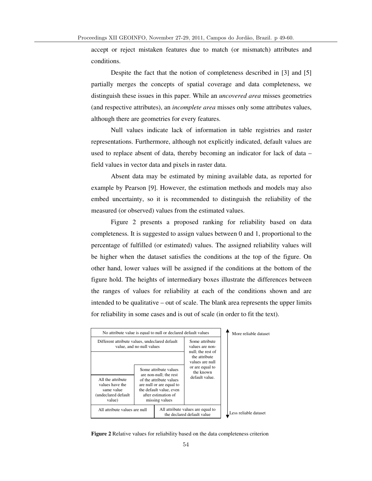accept or reject mistaken features due to match (or mismatch) attributes and conditions.

Despite the fact that the notion of completeness described in [3] and [5] partially merges the concepts of spatial coverage and data completeness, we distinguish these issues in this paper. While an *uncovered area* misses geometries (and respective attributes), an *incomplete area* misses only some attributes values, although there are geometries for every features.

Null values indicate lack of information in table registries and raster representations. Furthermore, although not explicitly indicated, default values are used to replace absent of data, thereby becoming an indicator for lack of data – field values in vector data and pixels in raster data.

Absent data may be estimated by mining available data, as reported for example by Pearson [9]. However, the estimation methods and models may also embed uncertainty, so it is recommended to distinguish the reliability of the measured (or observed) values from the estimated values.

Figure 2 presents a proposed ranking for reliability based on data completeness. It is suggested to assign values between 0 and 1, proportional to the percentage of fulfilled (or estimated) values. The assigned reliability values will be higher when the dataset satisfies the conditions at the top of the figure. On other hand, lower values will be assigned if the conditions at the bottom of the figure hold. The heights of intermediary boxes illustrate the differences between the ranges of values for reliability at each of the conditions shown and are intended to be qualitative – out of scale. The blank area represents the upper limits for reliability in some cases and is out of scale (in order to fit the text).



**Figure 2** Relative values for reliability based on the data completeness criterion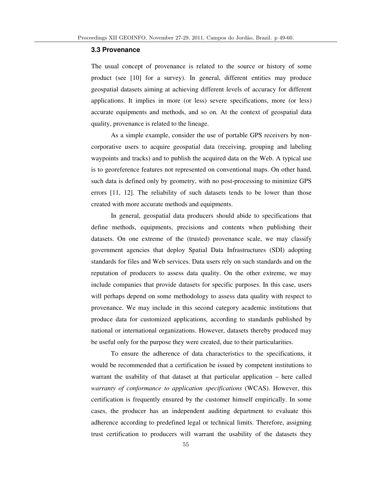#### **3.3 Provenance**

The usual concept of provenance is related to the source or history of some product (see [10] for a survey). In general, different entities may produce geospatial datasets aiming at achieving different levels of accuracy for different applications. It implies in more (or less) severe specifications, more (or less) accurate equipments and methods, and so on. At the context of geospatial data quality, provenance is related to the lineage.

As a simple example, consider the use of portable GPS receivers by noncorporative users to acquire geospatial data (receiving, grouping and labeling waypoints and tracks) and to publish the acquired data on the Web. A typical use is to georeference features not represented on conventional maps. On other hand, such data is defined only by geometry, with no post-processing to minimize GPS errors [11, 12]. The reliability of such datasets tends to be lower than those created with more accurate methods and equipments.

In general, geospatial data producers should abide to specifications that define methods, equipments, precisions and contents when publishing their datasets. On one extreme of the (trusted) provenance scale, we may classify government agencies that deploy Spatial Data Infrastructures (SDI) adopting standards for files and Web services. Data users rely on such standards and on the reputation of producers to assess data quality. On the other extreme, we may include companies that provide datasets for specific purposes. In this case, users will perhaps depend on some methodology to assess data quality with respect to provenance. We may include in this second category academic institutions that produce data for customized applications, according to standards published by national or international organizations. However, datasets thereby produced may be useful only for the purpose they were created, due to their particularities.

To ensure the adherence of data characteristics to the specifications, it would be recommended that a certification be issued by competent institutions to warrant the usability of that dataset at that particular application – here called *warranty of conformance to application specifications* (WCAS). However, this certification is frequently ensured by the customer himself empirically. In some cases, the producer has an independent auditing department to evaluate this adherence according to predefined legal or technical limits. Therefore, assigning trust certification to producers will warrant the usability of the datasets they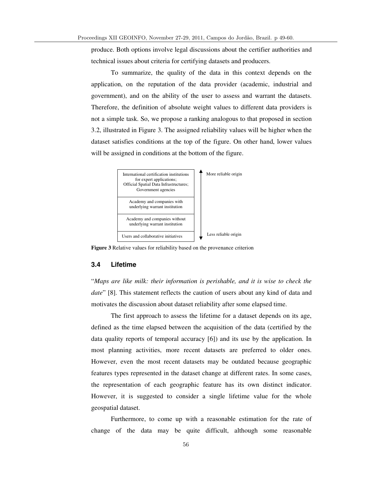produce. Both options involve legal discussions about the certifier authorities and technical issues about criteria for certifying datasets and producers.

To summarize, the quality of the data in this context depends on the application, on the reputation of the data provider (academic, industrial and government), and on the ability of the user to assess and warrant the datasets. Therefore, the definition of absolute weight values to different data providers is not a simple task. So, we propose a ranking analogous to that proposed in section 3.2, illustrated in Figure 3. The assigned reliability values will be higher when the dataset satisfies conditions at the top of the figure. On other hand, lower values will be assigned in conditions at the bottom of the figure.



**Figure 3** Relative values for reliability based on the provenance criterion

#### **3.4 Lifetime**

"*Maps are like milk: their information is perishable, and it is wise to check the date*" [8]. This statement reflects the caution of users about any kind of data and motivates the discussion about dataset reliability after some elapsed time.

The first approach to assess the lifetime for a dataset depends on its age, defined as the time elapsed between the acquisition of the data (certified by the data quality reports of temporal accuracy [6]) and its use by the application. In most planning activities, more recent datasets are preferred to older ones. However, even the most recent datasets may be outdated because geographic features types represented in the dataset change at different rates. In some cases, the representation of each geographic feature has its own distinct indicator. However, it is suggested to consider a single lifetime value for the whole geospatial dataset.

Furthermore, to come up with a reasonable estimation for the rate of change of the data may be quite difficult, although some reasonable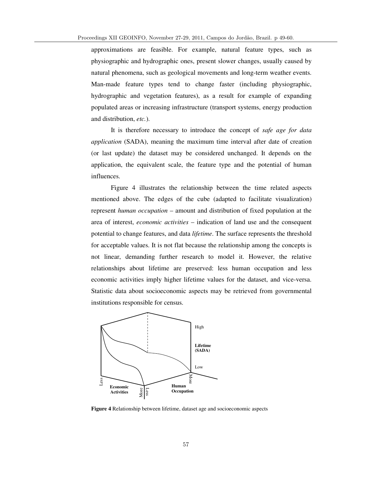approximations are feasible. For example, natural feature types, such as physiographic and hydrographic ones, present slower changes, usually caused by natural phenomena, such as geological movements and long-term weather events. Man-made feature types tend to change faster (including physiographic, hydrographic and vegetation features), as a result for example of expanding populated areas or increasing infrastructure (transport systems, energy production and distribution, *etc.*).

It is therefore necessary to introduce the concept of *safe age for data application* (SADA), meaning the maximum time interval after date of creation (or last update) the dataset may be considered unchanged. It depends on the application, the equivalent scale, the feature type and the potential of human influences.

Figure 4 illustrates the relationship between the time related aspects mentioned above. The edges of the cube (adapted to facilitate visualization) represent *human occupation* – amount and distribution of fixed population at the area of interest, *economic activities* – indication of land use and the consequent potential to change features, and data *lifetime*. The surface represents the threshold for acceptable values. It is not flat because the relationship among the concepts is not linear, demanding further research to model it. However, the relative relationships about lifetime are preserved: less human occupation and less economic activities imply higher lifetime values for the dataset, and vice-versa. Statistic data about socioeconomic aspects may be retrieved from governmental institutions responsible for census.



**Figure 4** Relationship between lifetime, dataset age and socioeconomic aspects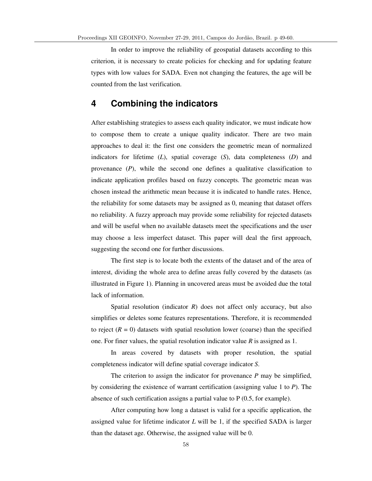In order to improve the reliability of geospatial datasets according to this criterion, it is necessary to create policies for checking and for updating feature types with low values for SADA. Even not changing the features, the age will be counted from the last verification.

## **4 Combining the indicators**

After establishing strategies to assess each quality indicator, we must indicate how to compose them to create a unique quality indicator. There are two main approaches to deal it: the first one considers the geometric mean of normalized indicators for lifetime (*L*), spatial coverage (*S*), data completeness (*D*) and provenance (*P*), while the second one defines a qualitative classification to indicate application profiles based on fuzzy concepts. The geometric mean was chosen instead the arithmetic mean because it is indicated to handle rates. Hence, the reliability for some datasets may be assigned as 0, meaning that dataset offers no reliability. A fuzzy approach may provide some reliability for rejected datasets and will be useful when no available datasets meet the specifications and the user may choose a less imperfect dataset. This paper will deal the first approach, suggesting the second one for further discussions.

The first step is to locate both the extents of the dataset and of the area of interest, dividing the whole area to define areas fully covered by the datasets (as illustrated in Figure 1). Planning in uncovered areas must be avoided due the total lack of information.

Spatial resolution (indicator *R*) does not affect only accuracy, but also simplifies or deletes some features representations. Therefore, it is recommended to reject  $(R = 0)$  datasets with spatial resolution lower (coarse) than the specified one. For finer values, the spatial resolution indicator value *R* is assigned as 1.

In areas covered by datasets with proper resolution, the spatial completeness indicator will define spatial coverage indicator *S*.

The criterion to assign the indicator for provenance *P* may be simplified, by considering the existence of warrant certification (assigning value 1 to *P*). The absence of such certification assigns a partial value to P (0.5, for example).

After computing how long a dataset is valid for a specific application, the assigned value for lifetime indicator *L* will be 1, if the specified SADA is larger than the dataset age. Otherwise, the assigned value will be 0.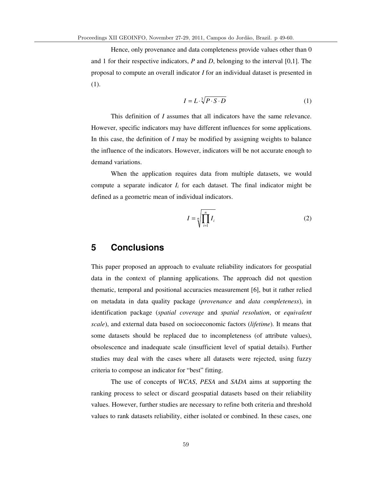Hence, only provenance and data completeness provide values other than 0 and 1 for their respective indicators, *P* and *D*, belonging to the interval [0,1]. The proposal to compute an overall indicator *I* for an individual dataset is presented in (1).

$$
I = L \cdot \sqrt[3]{P \cdot S \cdot D} \tag{1}
$$

This definition of *I* assumes that all indicators have the same relevance. However, specific indicators may have different influences for some applications. In this case, the definition of *I* may be modified by assigning weights to balance the influence of the indicators. However, indicators will be not accurate enough to demand variations.

When the application requires data from multiple datasets, we would compute a separate indicator  $I_i$  for each dataset. The final indicator might be defined as a geometric mean of individual indicators.

$$
I = \sqrt[n]{\prod_{i=1}^{n} I_i}
$$
 (2)

## **5 Conclusions**

This paper proposed an approach to evaluate reliability indicators for geospatial data in the context of planning applications. The approach did not question thematic, temporal and positional accuracies measurement [6], but it rather relied on metadata in data quality package (*provenance* and *data completeness*), in identification package (*spatial coverage* and *spatial resolution*, or *equivalent scale*), and external data based on socioeconomic factors (*lifetime*). It means that some datasets should be replaced due to incompleteness (of attribute values), obsolescence and inadequate scale (insufficient level of spatial details). Further studies may deal with the cases where all datasets were rejected, using fuzzy criteria to compose an indicator for "best" fitting.

The use of concepts of *WCAS*, *PESA* and *SADA* aims at supporting the ranking process to select or discard geospatial datasets based on their reliability values. However, further studies are necessary to refine both criteria and threshold values to rank datasets reliability, either isolated or combined. In these cases, one